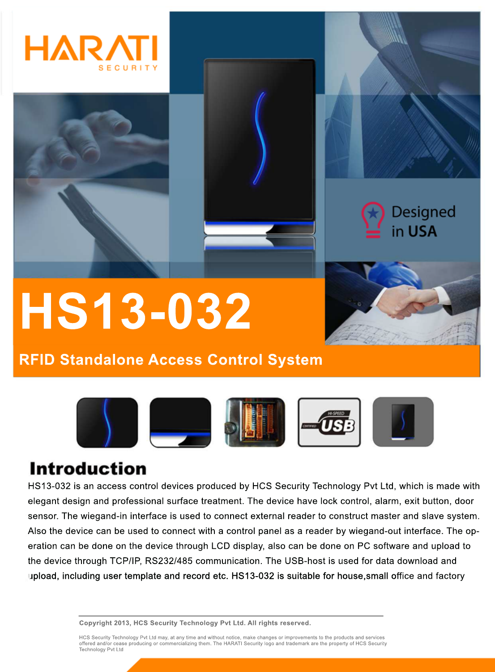



# **HS13-032**

## **RFID Standalone Access Control System**



# **Introduction**

HS13-032 is an access control devices produced by HCS Security Technology Pvt Ltd, which is made with elegant design and professional surface treatment. The device have lock control, alarm, exit button, door sensor. The wiegand-in interface is used to connect external reader to construct master and slave system. Also the device can be used to connect with a control panel as a reader by wiegand-out interface. The operation can be done on the device through LCD display, also can be done on PC software and upload to the device through TCP/IP, RS232/485 communication. The USB-host is used for data download and upload, including user template and record etc. HS13-032 is suitable for house, small office and factory

**Copyright 2013, HCS Security Technology Pvt Ltd. All rights reserved.**

HCS Security Technology Pvt Ltd may, at any time and without notice, make changes or improvements to the products and services<br>offered and/or cease producing or commercializing them. The HARATI Security logo and trademark Technology Pvt Ltd